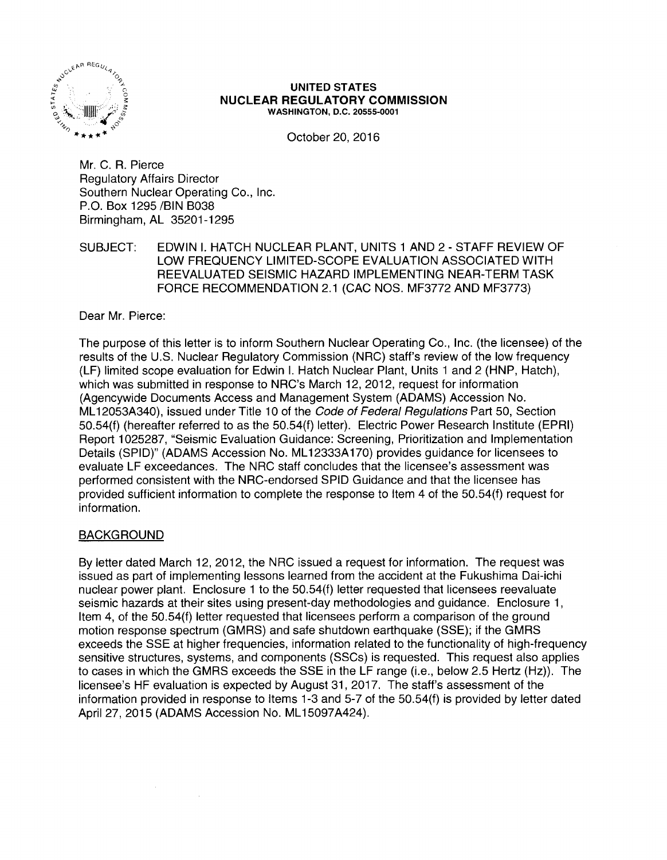

#### UNITED STATES NUCLEAR REGULATORY COMMISSION WASHINGTON, D.C. 20555-0001

October 20, 2016

Mr. C. R. Pierce Regulatory Affairs Director Southern Nuclear Operating Co., Inc. P.O. Box 1295 /BIN B038 Birmingham, AL 35201-1295

SUBJECT: EDWIN I. HATCH NUCLEAR PLANT, UNITS 1 AND 2 - STAFF REVIEW OF LOW FREQUENCY LIMITED-SCOPE EVALUATION ASSOCIATED WITH REEVALUATED SEISMIC HAZARD IMPLEMENTING NEAR-TERM TASK FORCE RECOMMENDATION 2.1 (CAC NOS. MF3772 AND MF3773}

Dear Mr. Pierce:

The purpose of this letter is to inform Southern Nuclear Operating Co., Inc. (the licensee) of the results of the U.S. Nuclear Regulatory Commission (NRC) staff's review of the low frequency (LF) limited scope evaluation for Edwin I. Hatch Nuclear Plant, Units 1 and 2 (HNP, Hatch), which was submitted in response to NRC's March 12, 2012, request for information (Agencywide Documents Access and Management System (ADAMS) Accession No. ML12053A340), issued under Title 10 of the Code of Federal Regulations Part 50, Section 50.54(f) (hereafter referred to as the 50.54(f) letter). Electric Power Research Institute (EPRI) Report 1025287, "Seismic Evaluation Guidance: Screening, Prioritization and Implementation Details (SPID)" (ADAMS Accession No. ML 12333A 170) provides guidance for licensees to evaluate LF exceedances. The NRC staff concludes that the licensee's assessment was performed consistent with the NRG-endorsed SPID Guidance and that the licensee has provided sufficient information to complete the response to Item 4 of the 50.54(f) request for information.

# BACKGROUND

 $\mathcal{L}_{\rm{in}}$ 

By letter dated March 12, 2012, the NRC issued a request for information. The request was issued as part of implementing lessons learned from the accident at the Fukushima Dai-ichi nuclear power plant. Enclosure 1 to the 50.54(f) letter requested that licensees reevaluate seismic hazards at their sites using present-day methodologies and guidance. Enclosure 1, Item 4, of the 50.54(f) letter requested that licensees perform a comparison of the ground motion response spectrum (GMRS) and safe shutdown earthquake (SSE); if the GMRS exceeds the SSE at higher frequencies, information related to the functionality of high-frequency sensitive structures, systems, and components (SSCs) is requested. This request also applies to cases in which the GMRS exceeds the SSE in the LF range (i.e., below 2.5 Hertz (Hz)). The licensee's HF evaluation is expected by August 31, 2017. The staff's assessment of the information provided in response to Items 1-3 and 5-7 of the 50.54(f) is provided by letter dated April 27, 2015 (ADAMS Accession No. ML15097A424).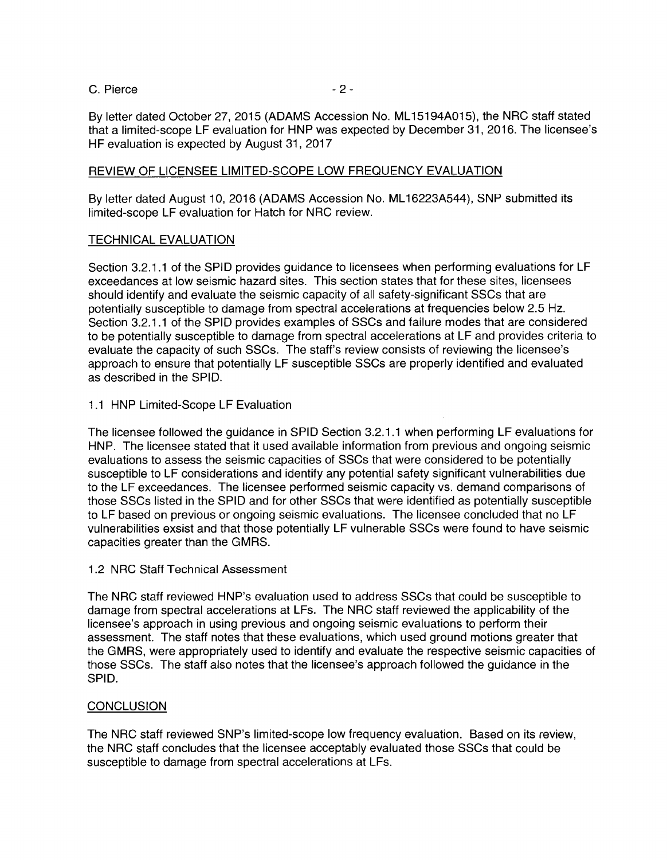C. Pierce - 2 -

By letter dated October 27, 2015 (ADAMS Accession No. ML 15194A015), the NRG staff stated that a limited-scope LF evaluation for HNP was expected by December 31, 2016. The licensee's HF evaluation is expected by August 31, 2017

# REVIEW OF LICENSEE LIMITED-SCOPE LOW FREQUENCY EVALUATION

By letter dated August 10, 2016 (ADAMS Accession No. ML 16223A544), SNP submitted its limited-scope LF evaluation for Hatch for NRG review.

## TECHNICAL EVALUATION

Section 3.2.1.1 of the SPID provides guidance to licensees when performing evaluations for LF exceedances at low seismic hazard sites. This section states that for these sites, licensees should identify and evaluate the seismic capacity of all safety-significant SSCs that are potentially susceptible to damage from spectral accelerations at frequencies below 2.5 Hz. Section 3.2.1.1 of the SPID provides examples of SSCs and failure modes that are considered to be potentially susceptible to damage from spectral accelerations at LF and provides criteria to evaluate the capacity of such SSCs. The staff's review consists of reviewing the licensee's approach to ensure that potentially LF susceptible SSCs are properly identified and evaluated as described in the SPID.

## 1.1 HNP Limited-Scope LF Evaluation

The licensee followed the guidance in SPID Section 3.2.1.1 when performing LF evaluations for HNP. The licensee stated that it used available information from previous and ongoing seismic evaluations to assess the seismic capacities of SSCs that were considered to be potentially susceptible to LF considerations and identify any potential safety significant vulnerabilities due to the LF exceedances. The licensee performed seismic capacity vs. demand comparisons of those SSCs listed in the SPID and for other SSCs that were identified as potentially susceptible to LF based on previous or ongoing seismic evaluations. The licensee concluded that no LF vulnerabilities exsist and that those potentially LF vulnerable SSCs were found to have seismic capacities greater than the GMRS.

## 1.2 NRG Staff Technical Assessment

The NRG staff reviewed HNP's evaluation used to address SSCs that could be susceptible to damage from spectral accelerations at LFs. The NRG staff reviewed the applicability of the licensee's approach in using previous and ongoing seismic evaluations to perform their assessment. The staff notes that these evaluations, which used ground motions greater that the GMRS, were appropriately used to identify and evaluate the respective seismic capacities of those SSCs. The staff also notes that the licensee's approach followed the guidance in the SPID.

## **CONCLUSION**

The NRG staff reviewed SNP's limited-scope low frequency evaluation. Based on its review, the NRG staff concludes that the licensee acceptably evaluated those SSCs that could be susceptible to damage from spectral accelerations at LFs.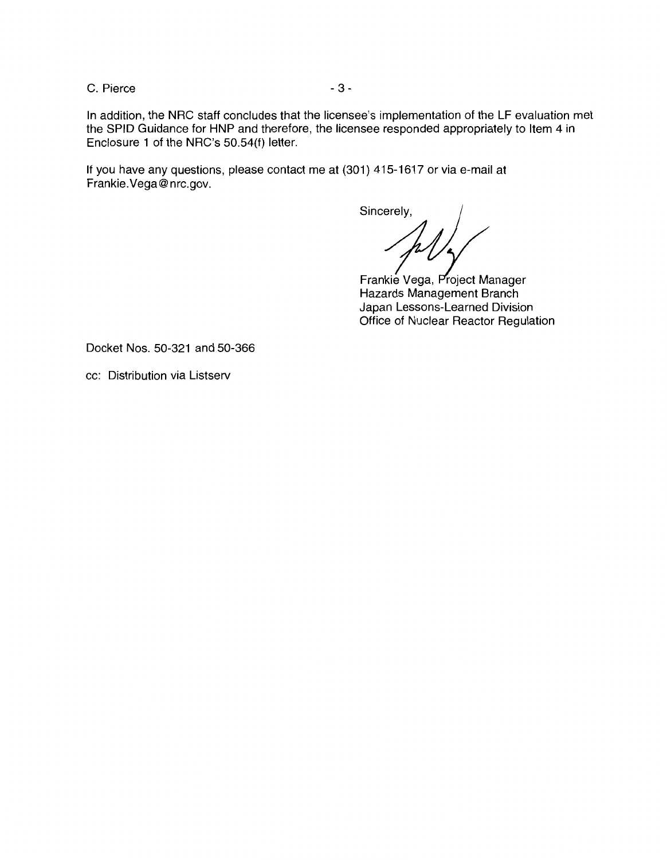C. Pierce - 3 -

In addition, the NRC staff concludes that the licensee's implementation of the LF evaluation met the SPID Guidance for HNP and therefore, the licensee responded appropriately to Item 4 in Enclosure 1 of the NRC's 50.54(f) letter.

If you have any questions, please contact me at (301) 415-1617 or via e-mail at Frankie.Vega@nrc.gov.

Sincerely,

Hazards Management Branch Frankie Vega, Project Manager Japan Lessons-Learned Division Office of Nuclear Reactor Regulation

Docket Nos. 50-321 and 50-366

cc: Distribution via Listserv